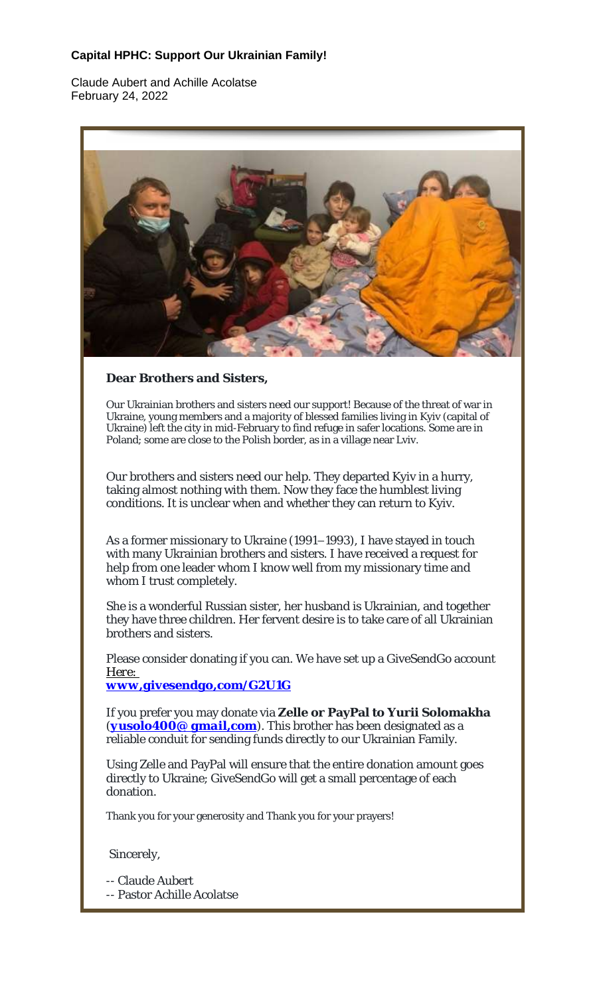## **Capital HPHC: Support Our Ukrainian Family!**

Claude Aubert and Achille Acolatse February 24, 2022



**Dear Brothers and Sisters,**

Our Ukrainian brothers and sisters need our support! Because of the threat of war in Ukraine, young members and a majority of blessed families living in Kyiv (capital of Ukraine) left the city in mid-February to find refuge in safer locations. Some are in Poland; some are close to the Polish border, as in a village near Lviv.

Our brothers and sisters need our help. They departed Kyiv in a hurry, taking almost nothing with them. Now they face the humblest living conditions. It is unclear when and whether they can return to Kyiv.

As a former missionary to Ukraine (1991–1993), I have stayed in touch with many Ukrainian brothers and sisters. I have received a request for help from one leader whom I know well from my missionary time and whom I trust completely.

She is a wonderful Russian sister, her husband is Ukrainian, and together they have three children. Her fervent desire is to take care of all Ukrainian brothers and sisters.

Please consider donating if you can. We have set up a GiveSendGo account *Here:*

*www,givesendgo,com/G2U1G*

If you prefer you may donate via **Zelle or PayPal to Yurii Solomakha** (*yusolo400@ gmail,com*). This brother has been designated as a reliable conduit for sending funds directly to our Ukrainian Family.

Using Zelle and PayPal will ensure that the entire donation amount goes directly to Ukraine; GiveSendGo will get a small percentage of each donation.

Thank you for your generosity and Thank you for your prayers!

Sincerely,

-- Claude Aubert

-- Pastor Achille Acolatse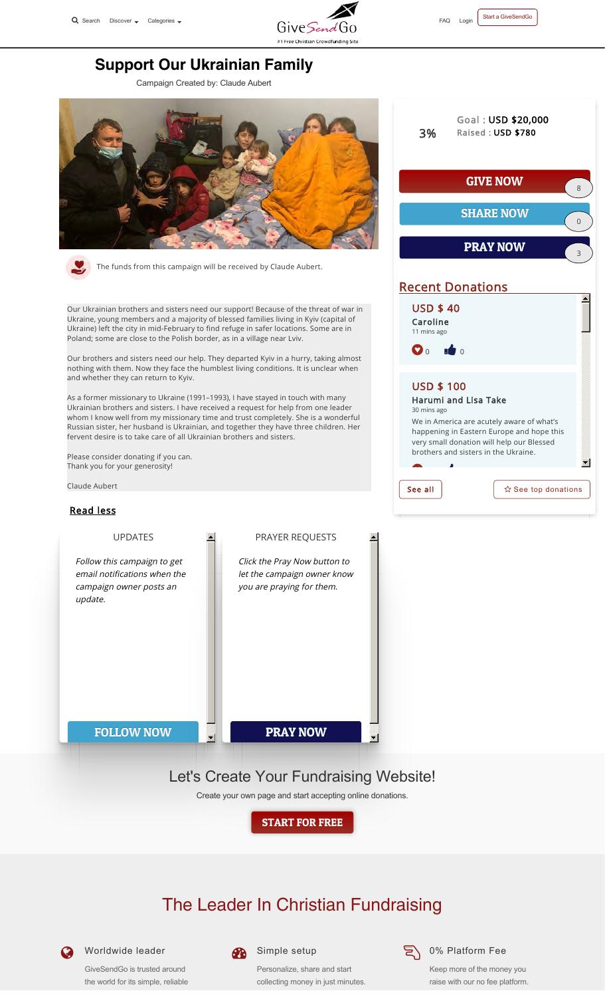



## **Support Our Ukrainian Family**

Campaign Created by: Claude Aubert



The funds from this campaign will be received by Claude Aubert.

Our Ukrainian brothers and sisters need our support! Because of the threat of war in Ukraine, young members and a majority of blessed families living in Kyiv (capital of Ukraine) left the city in mid-February to find refuge in safer locations. Some are in Poland; some are close to the Polish border, as in a village near Lviv.

Our brothers and sisters need our help. They departed Kyiv in a hurry, taking almost nothing with them. Now they face the humblest living conditions. It is unclear when and whether they can return to Kyiv.

As a former missionary to Ukraine (1991–1993), I have stayed in touch with many Ukrainian brothers and sisters. I have received a request for help from one leader whom I know well from my missionary time and trust completely. She is a wonderful Russian sister, her husband is Ukrainian, and together they have three children. Her fervent desire is to take care of all Ukrainian brothers and sisters.

Please consider donating if you can. Thank you for your generosity!

UPDATES

Follow this campaign to get email notifications when the campaign owner posts an

Claude Aubert

## Read less

update.

## PRAYER REQUESTS

Click the Pray Now button to let the campaign owner know you are praying for them.

FOLLOW NOW

# Let's Create Your Fundraising Website!

PRAY NOW

Create your own page and start accepting online donations.

START FOR FREE

# The Leader In Christian Fundraising



Worldwide leader

GiveSendGo is trusted around the world for its simple, reliable



 $\overline{\mathbf{v}}$ 

## Simple setup

Personalize, share and start collecting money in just minutes.



#### $\sum$  0% Platform Fee

Keep more of the money you raise with our no fee platform.



## Recent Donations

USD \$ 40 Caroline 11 mins ago

 $\bullet$  0

USD \$ 100

 $\bullet$  0  $\bullet$ 

30 mins ago

Harumi and Lisa Take

We in America are acutely aware of what's happening in Eastern Europe and hope this very small donation will help our Blessed brothers and sisters in the Ukraine.

See all  $\left| \begin{array}{c} \infty \\ \infty \end{array} \right|$   $\infty$  See top donations

 $\blacktriangledown$